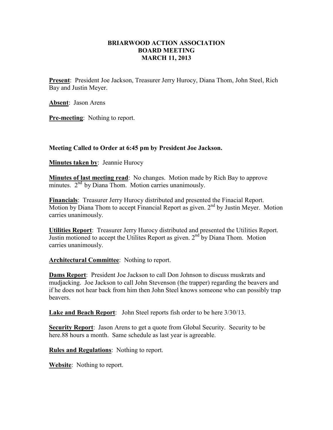## **BRIARWOOD ACTION ASSOCIATION BOARD MEETING MARCH 11, 2013**

**Present**: President Joe Jackson, Treasurer Jerry Hurocy, Diana Thom, John Steel, Rich Bay and Justin Meyer.

**Absent**: Jason Arens

**Pre-meeting**: Nothing to report.

## **Meeting Called to Order at 6:45 pm by President Joe Jackson.**

**Minutes taken by: Jeannie Hurocy** 

**Minutes of last meeting read**: No changes. Motion made by Rich Bay to approve minutes.  $2<sup>nd</sup>$  by Diana Thom. Motion carries unanimously.

**Financials**: Treasurer Jerry Hurocy distributed and presented the Finacial Report. Motion by Diana Thom to accept Financial Report as given.  $2<sup>nd</sup>$  by Justin Meyer. Motion carries unanimously.

**Utilities Report**: Treasurer Jerry Hurocy distributed and presented the Utilities Report. Justin motioned to accept the Utilites Report as given. 2<sup>nd</sup> by Diana Thom. Motion carries unanimously.

**Architectural Committee**: Nothing to report.

**Dams Report**: President Joe Jackson to call Don Johnson to discuss muskrats and mudjacking. Joe Jackson to call John Stevenson (the trapper) regarding the beavers and if he does not hear back from him then John Steel knows someone who can possibly trap beavers.

**Lake and Beach Report**: John Steel reports fish order to be here 3/30/13.

**Security Report**: Jason Arens to get a quote from Global Security. Security to be here.88 hours a month. Same schedule as last year is agreeable.

**Rules and Regulations**: Nothing to report.

**Website**: Nothing to report.